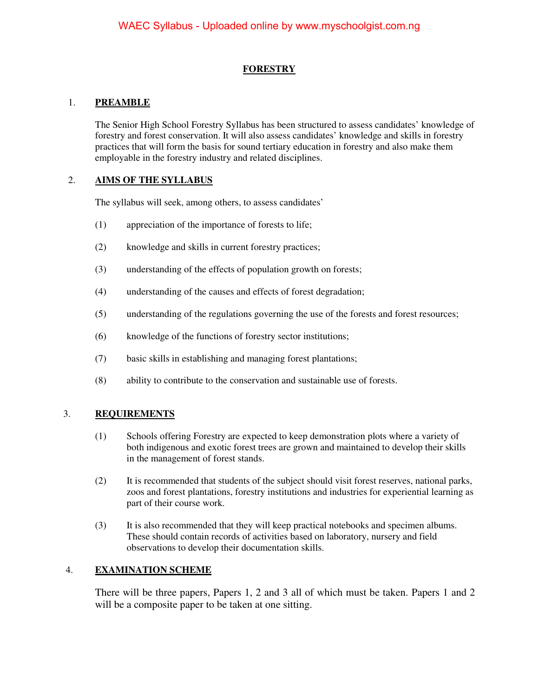#### **FORESTRY**

#### 1. **PREAMBLE**

The Senior High School Forestry Syllabus has been structured to assess candidates' knowledge of forestry and forest conservation. It will also assess candidates' knowledge and skills in forestry practices that will form the basis for sound tertiary education in forestry and also make them employable in the forestry industry and related disciplines.

#### 2. **AIMS OF THE SYLLABUS**

The syllabus will seek, among others, to assess candidates'

- (1) appreciation of the importance of forests to life;
- (2) knowledge and skills in current forestry practices;
- (3) understanding of the effects of population growth on forests;
- (4) understanding of the causes and effects of forest degradation;
- (5) understanding of the regulations governing the use of the forests and forest resources;
- (6) knowledge of the functions of forestry sector institutions;
- (7) basic skills in establishing and managing forest plantations;
- (8) ability to contribute to the conservation and sustainable use of forests.

#### 3. **REQUIREMENTS**

- (1) Schools offering Forestry are expected to keep demonstration plots where a variety of both indigenous and exotic forest trees are grown and maintained to develop their skills in the management of forest stands.
- (2) It is recommended that students of the subject should visit forest reserves, national parks, zoos and forest plantations, forestry institutions and industries for experiential learning as part of their course work.
- (3) It is also recommended that they will keep practical notebooks and specimen albums. These should contain records of activities based on laboratory, nursery and field observations to develop their documentation skills.

#### 4. **EXAMINATION SCHEME**

There will be three papers, Papers 1, 2 and 3 all of which must be taken. Papers 1 and 2 will be a composite paper to be taken at one sitting.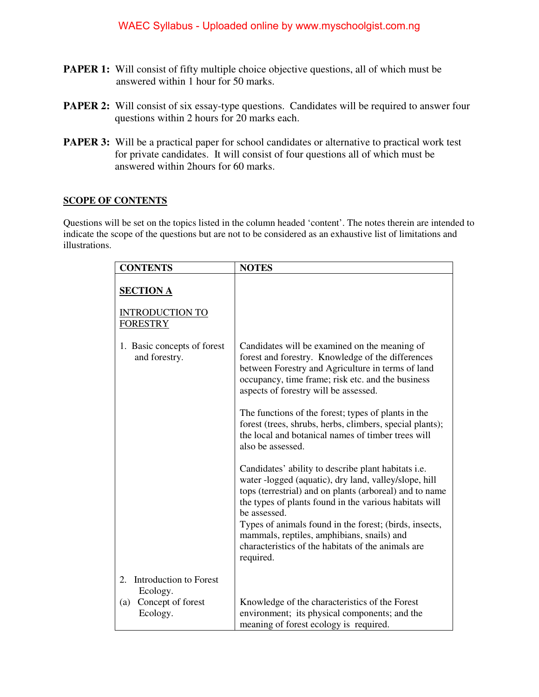- **PAPER 1:** Will consist of fifty multiple choice objective questions, all of which must be answered within 1 hour for 50 marks.
- **PAPER 2:** Will consist of six essay-type questions. Candidates will be required to answer four questions within 2 hours for 20 marks each.
- **PAPER 3:** Will be a practical paper for school candidates or alternative to practical work test for private candidates. It will consist of four questions all of which must be answered within 2hours for 60 marks.

#### **SCOPE OF CONTENTS**

Questions will be set on the topics listed in the column headed 'content'. The notes therein are intended to indicate the scope of the questions but are not to be considered as an exhaustive list of limitations and illustrations.

| <b>CONTENTS</b>                                  | <b>NOTES</b>                                                                                                                                                                                                                                                                                                                                                                                                                        |
|--------------------------------------------------|-------------------------------------------------------------------------------------------------------------------------------------------------------------------------------------------------------------------------------------------------------------------------------------------------------------------------------------------------------------------------------------------------------------------------------------|
| <b>SECTION A</b>                                 |                                                                                                                                                                                                                                                                                                                                                                                                                                     |
| <b>INTRODUCTION TO</b><br><b>FORESTRY</b>        |                                                                                                                                                                                                                                                                                                                                                                                                                                     |
| 1. Basic concepts of forest<br>and forestry.     | Candidates will be examined on the meaning of<br>forest and forestry. Knowledge of the differences<br>between Forestry and Agriculture in terms of land<br>occupancy, time frame; risk etc. and the business<br>aspects of forestry will be assessed.                                                                                                                                                                               |
|                                                  | The functions of the forest; types of plants in the<br>forest (trees, shrubs, herbs, climbers, special plants);<br>the local and botanical names of timber trees will<br>also be assessed.                                                                                                                                                                                                                                          |
|                                                  | Candidates' ability to describe plant habitats <i>i.e.</i><br>water -logged (aquatic), dry land, valley/slope, hill<br>tops (terrestrial) and on plants (arboreal) and to name<br>the types of plants found in the various habitats will<br>be assessed.<br>Types of animals found in the forest; (birds, insects,<br>mammals, reptiles, amphibians, snails) and<br>characteristics of the habitats of the animals are<br>required. |
| <b>Introduction to Forest</b><br>2.              |                                                                                                                                                                                                                                                                                                                                                                                                                                     |
| Ecology.<br>Concept of forest<br>(a)<br>Ecology. | Knowledge of the characteristics of the Forest<br>environment; its physical components; and the<br>meaning of forest ecology is required.                                                                                                                                                                                                                                                                                           |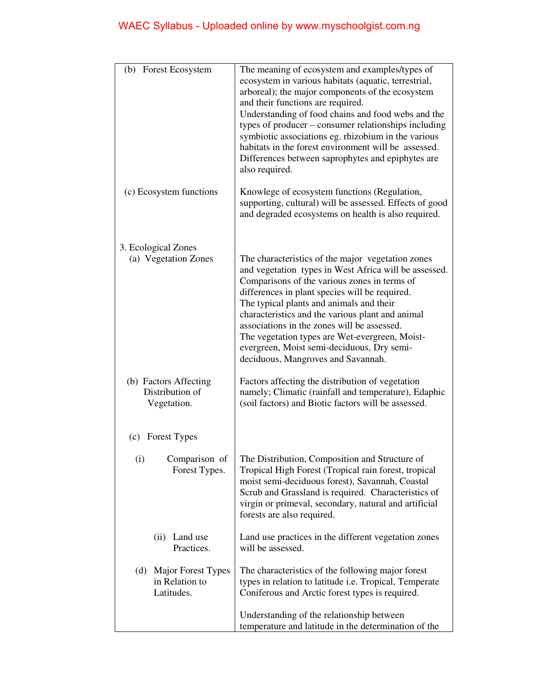| (b) Forest Ecosystem                                      | The meaning of ecosystem and examples/types of<br>ecosystem in various habitats (aquatic, terrestrial,<br>arboreal); the major components of the ecosystem<br>and their functions are required.<br>Understanding of food chains and food webs and the<br>types of producer – consumer relationships including<br>symbiotic associations eg. rhizobium in the various<br>habitats in the forest environment will be assessed.<br>Differences between saprophytes and epiphytes are<br>also required. |
|-----------------------------------------------------------|-----------------------------------------------------------------------------------------------------------------------------------------------------------------------------------------------------------------------------------------------------------------------------------------------------------------------------------------------------------------------------------------------------------------------------------------------------------------------------------------------------|
| (c) Ecosystem functions                                   | Knowlege of ecosystem functions (Regulation,<br>supporting, cultural) will be assessed. Effects of good<br>and degraded ecosystems on health is also required.                                                                                                                                                                                                                                                                                                                                      |
| 3. Ecological Zones<br>(a) Vegetation Zones               | The characteristics of the major vegetation zones<br>and vegetation types in West Africa will be assessed.<br>Comparisons of the various zones in terms of<br>differences in plant species will be required.<br>The typical plants and animals and their<br>characteristics and the various plant and animal<br>associations in the zones will be assessed.<br>The vegetation types are Wet-evergreen, Moist-<br>evergreen, Moist semi-deciduous, Dry semi-<br>deciduous, Mangroves and Savannah.   |
| (b) Factors Affecting<br>Distribution of<br>Vegetation.   | Factors affecting the distribution of vegetation<br>namely; Climatic (rainfall and temperature), Edaphic<br>(soil factors) and Biotic factors will be assessed.                                                                                                                                                                                                                                                                                                                                     |
| (c) Forest Types                                          |                                                                                                                                                                                                                                                                                                                                                                                                                                                                                                     |
| (i)<br>Comparison of<br>Forest Types.                     | The Distribution, Composition and Structure of<br>Tropical High Forest (Tropical rain forest, tropical<br>moist semi-deciduous forest), Savannah, Coastal<br>Scrub and Grassland is required. Characteristics of<br>virgin or primeval, secondary, natural and artificial<br>forests are also required.                                                                                                                                                                                             |
| Land use<br>(ii)<br>Practices.                            | Land use practices in the different vegetation zones<br>will be assessed.                                                                                                                                                                                                                                                                                                                                                                                                                           |
| Major Forest Types<br>(d)<br>in Relation to<br>Latitudes. | The characteristics of the following major forest<br>types in relation to latitude <i>i.e.</i> Tropical, Temperate<br>Coniferous and Arctic forest types is required.                                                                                                                                                                                                                                                                                                                               |
|                                                           | Understanding of the relationship between<br>temperature and latitude in the determination of the                                                                                                                                                                                                                                                                                                                                                                                                   |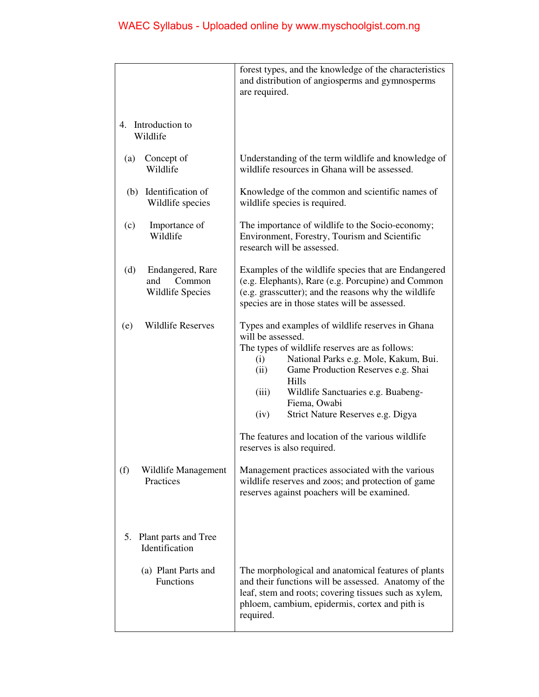|                                                                     | forest types, and the knowledge of the characteristics<br>and distribution of angiosperms and gymnosperms<br>are required.                                                                                                                                                                                                                 |
|---------------------------------------------------------------------|--------------------------------------------------------------------------------------------------------------------------------------------------------------------------------------------------------------------------------------------------------------------------------------------------------------------------------------------|
| 4. Introduction to<br>Wildlife                                      |                                                                                                                                                                                                                                                                                                                                            |
| (a)<br>Concept of<br>Wildlife                                       | Understanding of the term wildlife and knowledge of<br>wildlife resources in Ghana will be assessed.                                                                                                                                                                                                                                       |
| Identification of<br>(b)<br>Wildlife species                        | Knowledge of the common and scientific names of<br>wildlife species is required.                                                                                                                                                                                                                                                           |
| Importance of<br>(c)<br>Wildlife                                    | The importance of wildlife to the Socio-economy;<br>Environment, Forestry, Tourism and Scientific<br>research will be assessed.                                                                                                                                                                                                            |
| (d)<br>Endangered, Rare<br>and<br>Common<br><b>Wildlife Species</b> | Examples of the wildlife species that are Endangered<br>(e.g. Elephants), Rare (e.g. Porcupine) and Common<br>(e.g. grasscutter); and the reasons why the wildlife<br>species are in those states will be assessed.                                                                                                                        |
| <b>Wildlife Reserves</b><br>(e)                                     | Types and examples of wildlife reserves in Ghana<br>will be assessed.<br>The types of wildlife reserves are as follows:<br>National Parks e.g. Mole, Kakum, Bui.<br>(i)<br>Game Production Reserves e.g. Shai<br>(ii)<br>Hills<br>Wildlife Sanctuaries e.g. Buabeng-<br>(iii)<br>Fiema, Owabi<br>Strict Nature Reserves e.g. Digya<br>(iv) |
|                                                                     | The features and location of the various wildlife<br>reserves is also required.                                                                                                                                                                                                                                                            |
| (f)<br>Wildlife Management<br>Practices                             | Management practices associated with the various<br>wildlife reserves and zoos; and protection of game<br>reserves against poachers will be examined.                                                                                                                                                                                      |
| 5.<br>Plant parts and Tree<br>Identification                        |                                                                                                                                                                                                                                                                                                                                            |
| (a) Plant Parts and<br>Functions                                    | The morphological and anatomical features of plants<br>and their functions will be assessed. Anatomy of the<br>leaf, stem and roots; covering tissues such as xylem,<br>phloem, cambium, epidermis, cortex and pith is<br>required.                                                                                                        |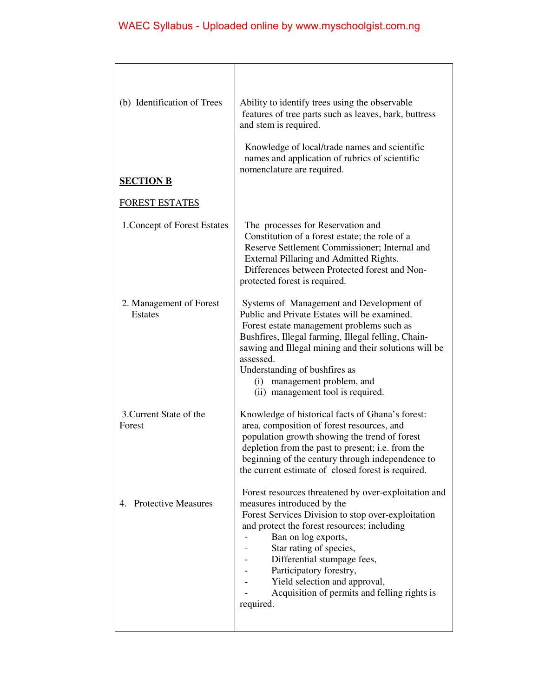| (b) Identification of Trees               | Ability to identify trees using the observable<br>features of tree parts such as leaves, bark, buttress<br>and stem is required.                                                                                                                                                                                                                                                                  |
|-------------------------------------------|---------------------------------------------------------------------------------------------------------------------------------------------------------------------------------------------------------------------------------------------------------------------------------------------------------------------------------------------------------------------------------------------------|
|                                           | Knowledge of local/trade names and scientific<br>names and application of rubrics of scientific<br>nomenclature are required.                                                                                                                                                                                                                                                                     |
| <b>SECTION B</b>                          |                                                                                                                                                                                                                                                                                                                                                                                                   |
| <b>FOREST ESTATES</b>                     |                                                                                                                                                                                                                                                                                                                                                                                                   |
| 1. Concept of Forest Estates              | The processes for Reservation and<br>Constitution of a forest estate; the role of a<br>Reserve Settlement Commissioner; Internal and<br>External Pillaring and Admitted Rights.<br>Differences between Protected forest and Non-<br>protected forest is required.                                                                                                                                 |
| 2. Management of Forest<br><b>Estates</b> | Systems of Management and Development of<br>Public and Private Estates will be examined.<br>Forest estate management problems such as<br>Bushfires, Illegal farming, Illegal felling, Chain-<br>sawing and Illegal mining and their solutions will be<br>assessed.<br>Understanding of bushfires as<br>management problem, and<br>(i)<br>(ii) management tool is required.                        |
| 3. Current State of the<br>Forest         | Knowledge of historical facts of Ghana's forest:<br>area, composition of forest resources, and<br>population growth showing the trend of forest<br>depletion from the past to present; i.e. from the<br>beginning of the century through independence to<br>the current estimate of closed forest is required.                                                                                    |
| 4. Protective Measures                    | Forest resources threatened by over-exploitation and<br>measures introduced by the<br>Forest Services Division to stop over-exploitation<br>and protect the forest resources; including<br>Ban on log exports,<br>Star rating of species,<br>Differential stumpage fees,<br>Participatory forestry,<br>Yield selection and approval,<br>Acquisition of permits and felling rights is<br>required. |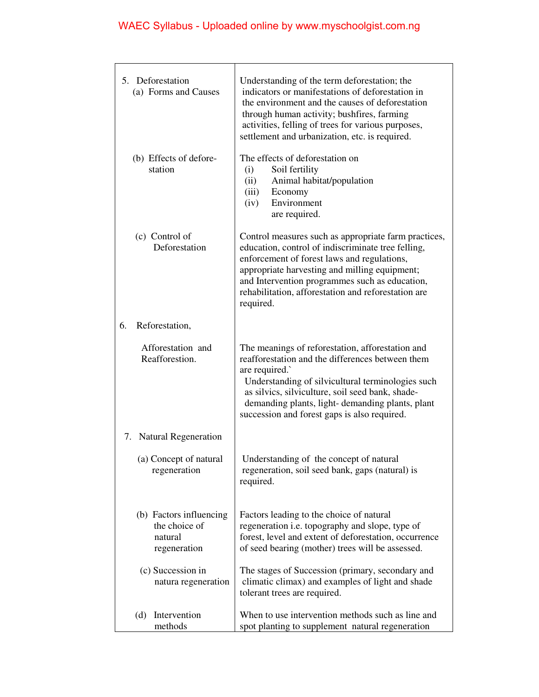| 5. Deforestation<br>(a) Forms and Causes                            | Understanding of the term deforestation; the<br>indicators or manifestations of deforestation in<br>the environment and the causes of deforestation<br>through human activity; bushfires, farming<br>activities, felling of trees for various purposes,<br>settlement and urbanization, etc. is required.                         |
|---------------------------------------------------------------------|-----------------------------------------------------------------------------------------------------------------------------------------------------------------------------------------------------------------------------------------------------------------------------------------------------------------------------------|
| (b) Effects of defore-<br>station                                   | The effects of deforestation on<br>Soil fertility<br>(i)<br>(ii)<br>Animal habitat/population<br>(iii)<br>Economy<br>Environment<br>(iv)<br>are required.                                                                                                                                                                         |
| (c) Control of<br>Deforestation                                     | Control measures such as appropriate farm practices,<br>education, control of indiscriminate tree felling,<br>enforcement of forest laws and regulations,<br>appropriate harvesting and milling equipment;<br>and Intervention programmes such as education,<br>rehabilitation, afforestation and reforestation are<br>required.  |
| Reforestation,<br>6.                                                |                                                                                                                                                                                                                                                                                                                                   |
| Afforestation and<br>Reafforestion.                                 | The meanings of reforestation, afforestation and<br>reafforestation and the differences between them<br>are required.<br>Understanding of silvicultural terminologies such<br>as silvics, silviculture, soil seed bank, shade-<br>demanding plants, light-demanding plants, plant<br>succession and forest gaps is also required. |
| 7. Natural Regeneration                                             |                                                                                                                                                                                                                                                                                                                                   |
| (a) Concept of natural<br>regeneration                              | Understanding of the concept of natural<br>regeneration, soil seed bank, gaps (natural) is<br>required.                                                                                                                                                                                                                           |
| (b) Factors influencing<br>the choice of<br>natural<br>regeneration | Factors leading to the choice of natural<br>regeneration <i>i.e.</i> topography and slope, type of<br>forest, level and extent of deforestation, occurrence<br>of seed bearing (mother) trees will be assessed.                                                                                                                   |
| (c) Succession in<br>natura regeneration                            | The stages of Succession (primary, secondary and<br>climatic climax) and examples of light and shade<br>tolerant trees are required.                                                                                                                                                                                              |
| Intervention<br>(d)<br>methods                                      | When to use intervention methods such as line and<br>spot planting to supplement natural regeneration                                                                                                                                                                                                                             |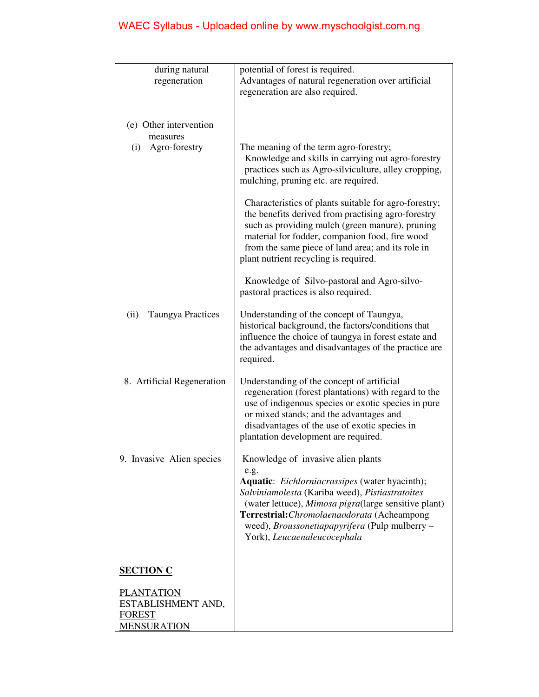|                                  | potential of forest is required.                                                             |
|----------------------------------|----------------------------------------------------------------------------------------------|
| during natural                   |                                                                                              |
| regeneration                     | Advantages of natural regeneration over artificial                                           |
|                                  | regeneration are also required.                                                              |
|                                  |                                                                                              |
| (e) Other intervention           |                                                                                              |
|                                  |                                                                                              |
| measures                         |                                                                                              |
| (i) Agro-forestry                | The meaning of the term agro-forestry;<br>Knowledge and skills in carrying out agro-forestry |
|                                  | practices such as Agro-silviculture, alley cropping,                                         |
|                                  | mulching, pruning etc. are required.                                                         |
|                                  |                                                                                              |
|                                  | Characteristics of plants suitable for agro-forestry;                                        |
|                                  | the benefits derived from practising agro-forestry                                           |
|                                  | such as providing mulch (green manure), pruning                                              |
|                                  | material for fodder, companion food, fire wood                                               |
|                                  | from the same piece of land area; and its role in                                            |
|                                  | plant nutrient recycling is required.                                                        |
|                                  |                                                                                              |
|                                  | Knowledge of Silvo-pastoral and Agro-silvo-                                                  |
|                                  | pastoral practices is also required.                                                         |
| <b>Taungya Practices</b><br>(ii) | Understanding of the concept of Taungya,                                                     |
|                                  | historical background, the factors/conditions that                                           |
|                                  | influence the choice of taungya in forest estate and                                         |
|                                  | the advantages and disadvantages of the practice are                                         |
|                                  | required.                                                                                    |
|                                  |                                                                                              |
| 8. Artificial Regeneration       | Understanding of the concept of artificial                                                   |
|                                  | regeneration (forest plantations) with regard to the                                         |
|                                  | use of indigenous species or exotic species in pure                                          |
|                                  | or mixed stands; and the advantages and                                                      |
|                                  | disadvantages of the use of exotic species in                                                |
|                                  | plantation development are required.                                                         |
| 9. Invasive Alien species        | Knowledge of invasive alien plants                                                           |
|                                  | e.g.                                                                                         |
|                                  | Aquatic: Eichlorniacrassipes (water hyacinth);                                               |
|                                  | Salviniamolesta (Kariba weed), Pistiastratoites                                              |
|                                  | (water lettuce), Mimosa pigra(large sensitive plant)                                         |
|                                  | Terrestrial: Chromolaenaodorata (Acheampong                                                  |
|                                  | weed), <i>Broussonetiapapyrifera</i> (Pulp mulberry -                                        |
|                                  | York), Leucaenaleucocephala                                                                  |
|                                  |                                                                                              |
| <b>SECTION C</b>                 |                                                                                              |
|                                  |                                                                                              |
| <b>PLANTATION</b>                |                                                                                              |
| <u>ESTABLISHMENT AND,</u>        |                                                                                              |
| <b>FOREST</b>                    |                                                                                              |
| <b>MENSURATION</b>               |                                                                                              |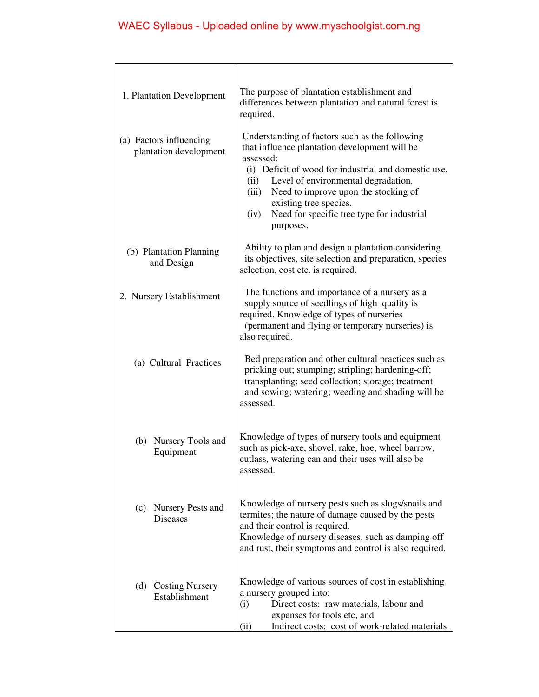| 1. Plantation Development                         | The purpose of plantation establishment and<br>differences between plantation and natural forest is<br>required.                                                                                                                                                                                                                                                  |
|---------------------------------------------------|-------------------------------------------------------------------------------------------------------------------------------------------------------------------------------------------------------------------------------------------------------------------------------------------------------------------------------------------------------------------|
| (a) Factors influencing<br>plantation development | Understanding of factors such as the following<br>that influence plantation development will be<br>assessed:<br>(i) Deficit of wood for industrial and domestic use.<br>Level of environmental degradation.<br>(ii)<br>Need to improve upon the stocking of<br>(iii)<br>existing tree species.<br>Need for specific tree type for industrial<br>(iv)<br>purposes. |
| (b) Plantation Planning<br>and Design             | Ability to plan and design a plantation considering<br>its objectives, site selection and preparation, species<br>selection, cost etc. is required.                                                                                                                                                                                                               |
| 2. Nursery Establishment                          | The functions and importance of a nursery as a<br>supply source of seedlings of high quality is<br>required. Knowledge of types of nurseries<br>(permanent and flying or temporary nurseries) is<br>also required.                                                                                                                                                |
| (a) Cultural Practices                            | Bed preparation and other cultural practices such as<br>pricking out; stumping; stripling; hardening-off;<br>transplanting; seed collection; storage; treatment<br>and sowing; watering; weeding and shading will be<br>assessed.                                                                                                                                 |
| (b) Nursery Tools and<br>Equipment                | Knowledge of types of nursery tools and equipment<br>such as pick-axe, shovel, rake, hoe, wheel barrow,<br>cutlass, watering can and their uses will also be<br>assessed.                                                                                                                                                                                         |
| (c) Nursery Pests and<br><b>Diseases</b>          | Knowledge of nursery pests such as slugs/snails and<br>termites; the nature of damage caused by the pests<br>and their control is required.<br>Knowledge of nursery diseases, such as damping off<br>and rust, their symptoms and control is also required.                                                                                                       |
| (d) Costing Nursery<br>Establishment              | Knowledge of various sources of cost in establishing<br>a nursery grouped into:<br>(i)<br>Direct costs: raw materials, labour and<br>expenses for tools etc, and<br>(ii)<br>Indirect costs: cost of work-related materials                                                                                                                                        |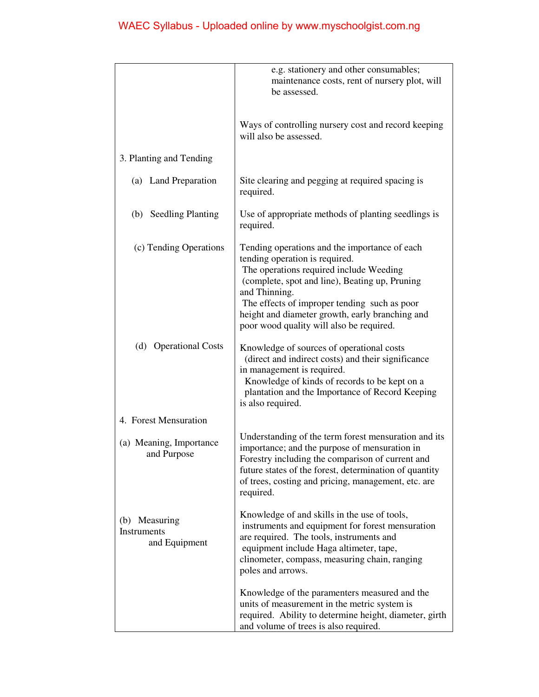|                                               | e.g. stationery and other consumables;<br>maintenance costs, rent of nursery plot, will<br>be assessed.                                                                                                                                                                                                                                      |
|-----------------------------------------------|----------------------------------------------------------------------------------------------------------------------------------------------------------------------------------------------------------------------------------------------------------------------------------------------------------------------------------------------|
|                                               | Ways of controlling nursery cost and record keeping<br>will also be assessed.                                                                                                                                                                                                                                                                |
| 3. Planting and Tending                       |                                                                                                                                                                                                                                                                                                                                              |
| (a) Land Preparation                          | Site clearing and pegging at required spacing is<br>required.                                                                                                                                                                                                                                                                                |
| (b) Seedling Planting                         | Use of appropriate methods of planting seedlings is<br>required.                                                                                                                                                                                                                                                                             |
| (c) Tending Operations                        | Tending operations and the importance of each<br>tending operation is required.<br>The operations required include Weeding<br>(complete, spot and line), Beating up, Pruning<br>and Thinning.<br>The effects of improper tending such as poor<br>height and diameter growth, early branching and<br>poor wood quality will also be required. |
| (d) Operational Costs                         | Knowledge of sources of operational costs<br>(direct and indirect costs) and their significance<br>in management is required.<br>Knowledge of kinds of records to be kept on a<br>plantation and the Importance of Record Keeping<br>is also required.                                                                                       |
| 4. Forest Mensuration                         |                                                                                                                                                                                                                                                                                                                                              |
| (a) Meaning, Importance<br>and Purpose        | Understanding of the term forest mensuration and its<br>importance; and the purpose of mensuration in<br>Forestry including the comparison of current and<br>future states of the forest, determination of quantity<br>of trees, costing and pricing, management, etc. are<br>required.                                                      |
| (b) Measuring<br>Instruments<br>and Equipment | Knowledge of and skills in the use of tools,<br>instruments and equipment for forest mensuration<br>are required. The tools, instruments and<br>equipment include Haga altimeter, tape,<br>clinometer, compass, measuring chain, ranging<br>poles and arrows.                                                                                |
|                                               | Knowledge of the paramenters measured and the<br>units of measurement in the metric system is<br>required. Ability to determine height, diameter, girth<br>and volume of trees is also required.                                                                                                                                             |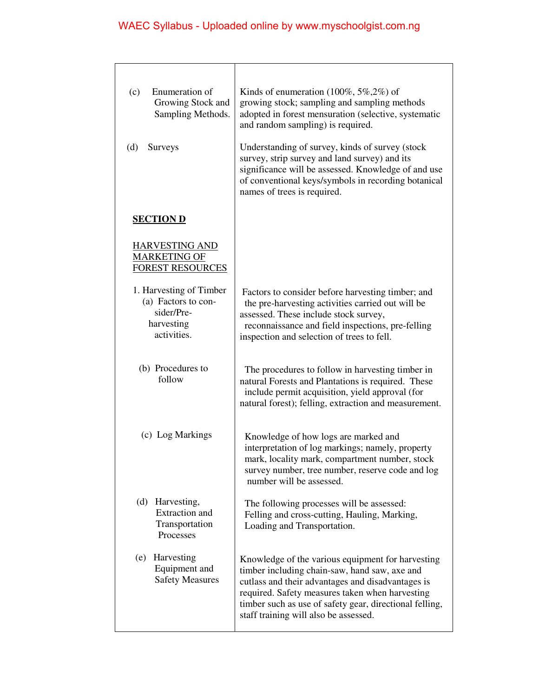| Enumeration of<br>(c)<br>Growing Stock and<br>Sampling Methods.<br>(d)<br>Surveys         | Kinds of enumeration $(100\%, 5\%, 2\%)$ of<br>growing stock; sampling and sampling methods<br>adopted in forest mensuration (selective, systematic<br>and random sampling) is required.<br>Understanding of survey, kinds of survey (stock<br>survey, strip survey and land survey) and its<br>significance will be assessed. Knowledge of and use<br>of conventional keys/symbols in recording botanical<br>names of trees is required. |
|-------------------------------------------------------------------------------------------|-------------------------------------------------------------------------------------------------------------------------------------------------------------------------------------------------------------------------------------------------------------------------------------------------------------------------------------------------------------------------------------------------------------------------------------------|
| <b>SECTION D</b>                                                                          |                                                                                                                                                                                                                                                                                                                                                                                                                                           |
| <b>HARVESTING AND</b><br><b>MARKETING OF</b><br><b>FOREST RESOURCES</b>                   |                                                                                                                                                                                                                                                                                                                                                                                                                                           |
| 1. Harvesting of Timber<br>(a) Factors to con-<br>sider/Pre-<br>harvesting<br>activities. | Factors to consider before harvesting timber; and<br>the pre-harvesting activities carried out will be<br>assessed. These include stock survey,<br>reconnaissance and field inspections, pre-felling<br>inspection and selection of trees to fell.                                                                                                                                                                                        |
| (b) Procedures to<br>follow                                                               | The procedures to follow in harvesting timber in<br>natural Forests and Plantations is required. These<br>include permit acquisition, yield approval (for<br>natural forest); felling, extraction and measurement.                                                                                                                                                                                                                        |
| (c) Log Markings                                                                          | Knowledge of how logs are marked and<br>interpretation of log markings; namely, property<br>mark, locality mark, compartment number, stock<br>survey number, tree number, reserve code and log<br>number will be assessed.                                                                                                                                                                                                                |
| (d)<br>Harvesting,<br><b>Extraction</b> and<br>Transportation<br>Processes                | The following processes will be assessed:<br>Felling and cross-cutting, Hauling, Marking,<br>Loading and Transportation.                                                                                                                                                                                                                                                                                                                  |
| Harvesting<br>(e)<br>Equipment and<br><b>Safety Measures</b>                              | Knowledge of the various equipment for harvesting<br>timber including chain-saw, hand saw, axe and<br>cutlass and their advantages and disadvantages is<br>required. Safety measures taken when harvesting<br>timber such as use of safety gear, directional felling,<br>staff training will also be assessed.                                                                                                                            |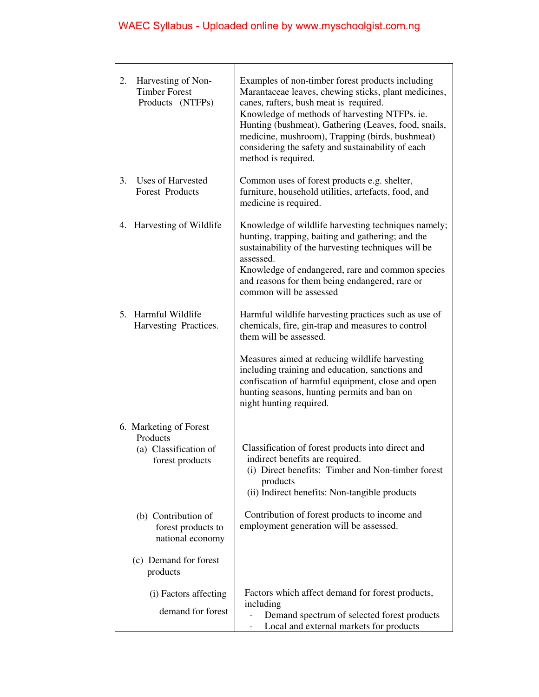| 2. | Harvesting of Non-<br><b>Timber Forest</b><br>Products (NTFPs)                 | Examples of non-timber forest products including<br>Marantaceae leaves, chewing sticks, plant medicines,<br>canes, rafters, bush meat is required.<br>Knowledge of methods of harvesting NTFPs. ie.<br>Hunting (bushmeat), Gathering (Leaves, food, snails,<br>medicine, mushroom), Trapping (birds, bushmeat)<br>considering the safety and sustainability of each<br>method is required. |
|----|--------------------------------------------------------------------------------|--------------------------------------------------------------------------------------------------------------------------------------------------------------------------------------------------------------------------------------------------------------------------------------------------------------------------------------------------------------------------------------------|
| 3. | Uses of Harvested<br><b>Forest Products</b>                                    | Common uses of forest products e.g. shelter,<br>furniture, household utilities, artefacts, food, and<br>medicine is required.                                                                                                                                                                                                                                                              |
|    | 4. Harvesting of Wildlife                                                      | Knowledge of wildlife harvesting techniques namely;<br>hunting, trapping, baiting and gathering; and the<br>sustainability of the harvesting techniques will be<br>assessed.<br>Knowledge of endangered, rare and common species<br>and reasons for them being endangered, rare or<br>common will be assessed                                                                              |
|    | 5. Harmful Wildlife<br>Harvesting Practices.                                   | Harmful wildlife harvesting practices such as use of<br>chemicals, fire, gin-trap and measures to control<br>them will be assessed.                                                                                                                                                                                                                                                        |
|    |                                                                                | Measures aimed at reducing wildlife harvesting<br>including training and education, sanctions and<br>confiscation of harmful equipment, close and open<br>hunting seasons, hunting permits and ban on<br>night hunting required.                                                                                                                                                           |
|    | 6. Marketing of Forest<br>Products<br>(a) Classification of<br>forest products | Classification of forest products into direct and<br>indirect benefits are required.<br>(i) Direct benefits: Timber and Non-timber forest<br>products<br>(ii) Indirect benefits: Non-tangible products                                                                                                                                                                                     |
|    | (b) Contribution of<br>forest products to<br>national economy                  | Contribution of forest products to income and<br>employment generation will be assessed.                                                                                                                                                                                                                                                                                                   |
|    | (c) Demand for forest<br>products                                              |                                                                                                                                                                                                                                                                                                                                                                                            |
|    | (i) Factors affecting<br>demand for forest                                     | Factors which affect demand for forest products,<br>including<br>Demand spectrum of selected forest products<br>Local and external markets for products                                                                                                                                                                                                                                    |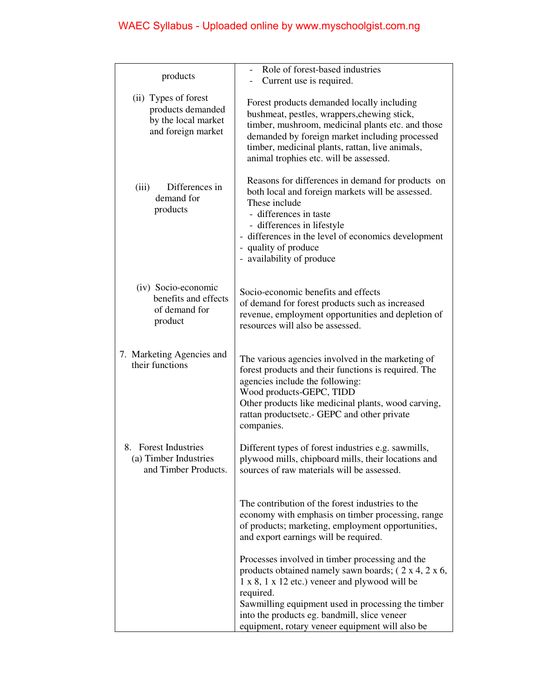| Current use is required.                                                                                                                                                                                                                                                                                                                                   |
|------------------------------------------------------------------------------------------------------------------------------------------------------------------------------------------------------------------------------------------------------------------------------------------------------------------------------------------------------------|
|                                                                                                                                                                                                                                                                                                                                                            |
| Forest products demanded locally including<br>bushmeat, pestles, wrappers, chewing stick,<br>timber, mushroom, medicinal plants etc. and those<br>demanded by foreign market including processed<br>timber, medicinal plants, rattan, live animals,<br>animal trophies etc. will be assessed.                                                              |
| Reasons for differences in demand for products on<br>both local and foreign markets will be assessed.<br>These include<br>- differences in taste<br>- differences in lifestyle<br>- differences in the level of economics development<br>- quality of produce<br>- availability of produce                                                                 |
| Socio-economic benefits and effects<br>of demand for forest products such as increased<br>revenue, employment opportunities and depletion of<br>resources will also be assessed.                                                                                                                                                                           |
| The various agencies involved in the marketing of<br>forest products and their functions is required. The<br>agencies include the following:<br>Wood products-GEPC, TIDD<br>Other products like medicinal plants, wood carving,<br>rattan productsetc.- GEPC and other private<br>companies.                                                               |
| Different types of forest industries e.g. sawmills,<br>plywood mills, chipboard mills, their locations and<br>sources of raw materials will be assessed.                                                                                                                                                                                                   |
| The contribution of the forest industries to the<br>economy with emphasis on timber processing, range<br>of products; marketing, employment opportunities,<br>and export earnings will be required.                                                                                                                                                        |
| Processes involved in timber processing and the<br>products obtained namely sawn boards; $(2 \times 4, 2 \times 6,$<br>$1 \times 8$ , $1 \times 12$ etc.) veneer and plywood will be<br>required.<br>Sawmilling equipment used in processing the timber<br>into the products eg. bandmill, slice veneer<br>equipment, rotary veneer equipment will also be |
|                                                                                                                                                                                                                                                                                                                                                            |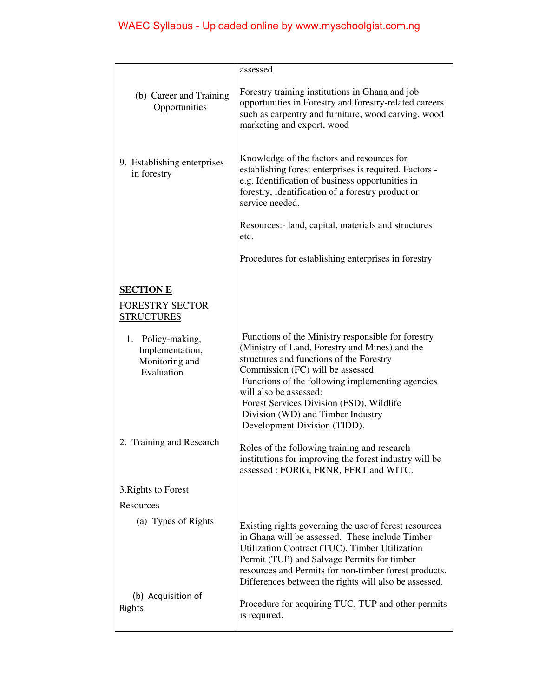|                                                                       | assessed.                                                                                                                                                                                                                                                                                                                                                                            |
|-----------------------------------------------------------------------|--------------------------------------------------------------------------------------------------------------------------------------------------------------------------------------------------------------------------------------------------------------------------------------------------------------------------------------------------------------------------------------|
| (b) Career and Training<br>Opportunities                              | Forestry training institutions in Ghana and job<br>opportunities in Forestry and forestry-related careers<br>such as carpentry and furniture, wood carving, wood<br>marketing and export, wood                                                                                                                                                                                       |
| 9. Establishing enterprises<br>in forestry                            | Knowledge of the factors and resources for<br>establishing forest enterprises is required. Factors -<br>e.g. Identification of business opportunities in<br>forestry, identification of a forestry product or<br>service needed.                                                                                                                                                     |
|                                                                       | Resources:- land, capital, materials and structures<br>etc.                                                                                                                                                                                                                                                                                                                          |
|                                                                       | Procedures for establishing enterprises in forestry                                                                                                                                                                                                                                                                                                                                  |
| <b>SECTION E</b>                                                      |                                                                                                                                                                                                                                                                                                                                                                                      |
| <b>FORESTRY SECTOR</b><br><b>STRUCTURES</b>                           |                                                                                                                                                                                                                                                                                                                                                                                      |
| 1. Policy-making,<br>Implementation,<br>Monitoring and<br>Evaluation. | Functions of the Ministry responsible for forestry<br>(Ministry of Land, Forestry and Mines) and the<br>structures and functions of the Forestry<br>Commission (FC) will be assessed.<br>Functions of the following implementing agencies<br>will also be assessed:<br>Forest Services Division (FSD), Wildlife<br>Division (WD) and Timber Industry<br>Development Division (TIDD). |
| 2. Training and Research                                              | Roles of the following training and research<br>institutions for improving the forest industry will be<br>assessed: FORIG, FRNR, FFRT and WITC.                                                                                                                                                                                                                                      |
| 3. Rights to Forest                                                   |                                                                                                                                                                                                                                                                                                                                                                                      |
| Resources                                                             |                                                                                                                                                                                                                                                                                                                                                                                      |
| (a) Types of Rights                                                   | Existing rights governing the use of forest resources<br>in Ghana will be assessed. These include Timber<br>Utilization Contract (TUC), Timber Utilization<br>Permit (TUP) and Salvage Permits for timber<br>resources and Permits for non-timber forest products.<br>Differences between the rights will also be assessed.                                                          |
| (b) Acquisition of<br>Rights                                          | Procedure for acquiring TUC, TUP and other permits<br>is required.                                                                                                                                                                                                                                                                                                                   |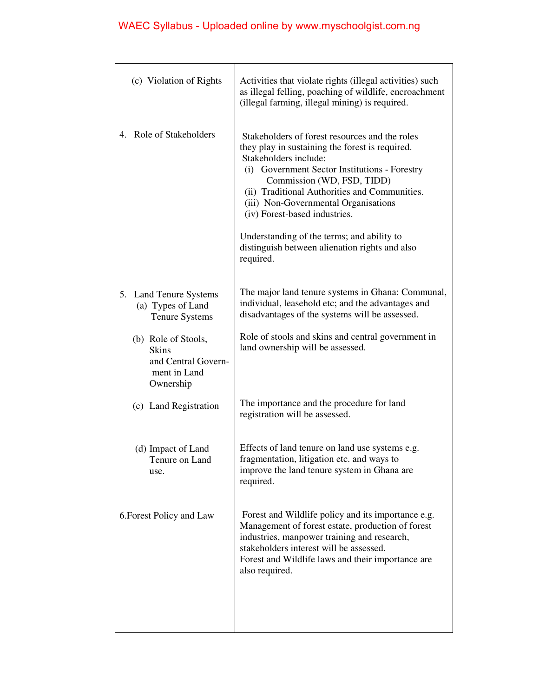| (c) Violation of Rights                                                                 | Activities that violate rights (illegal activities) such<br>as illegal felling, poaching of wildlife, encroachment<br>(illegal farming, illegal mining) is required.                                                                                                                                                                                                                                                                             |
|-----------------------------------------------------------------------------------------|--------------------------------------------------------------------------------------------------------------------------------------------------------------------------------------------------------------------------------------------------------------------------------------------------------------------------------------------------------------------------------------------------------------------------------------------------|
| 4. Role of Stakeholders                                                                 | Stakeholders of forest resources and the roles<br>they play in sustaining the forest is required.<br>Stakeholders include:<br>(i) Government Sector Institutions - Forestry<br>Commission (WD, FSD, TIDD)<br>(ii) Traditional Authorities and Communities.<br>(iii) Non-Governmental Organisations<br>(iv) Forest-based industries.<br>Understanding of the terms; and ability to<br>distinguish between alienation rights and also<br>required. |
| <b>Land Tenure Systems</b><br>5.<br>(a) Types of Land<br><b>Tenure Systems</b>          | The major land tenure systems in Ghana: Communal,<br>individual, leasehold etc; and the advantages and<br>disadvantages of the systems will be assessed.                                                                                                                                                                                                                                                                                         |
| (b) Role of Stools,<br><b>Skins</b><br>and Central Govern-<br>ment in Land<br>Ownership | Role of stools and skins and central government in<br>land ownership will be assessed.                                                                                                                                                                                                                                                                                                                                                           |
| (c) Land Registration                                                                   | The importance and the procedure for land<br>registration will be assessed.                                                                                                                                                                                                                                                                                                                                                                      |
| (d) Impact of Land<br>Tenure on Land<br>use.                                            | Effects of land tenure on land use systems e.g.<br>fragmentation, litigation etc. and ways to<br>improve the land tenure system in Ghana are<br>required.                                                                                                                                                                                                                                                                                        |
| 6. Forest Policy and Law                                                                | Forest and Wildlife policy and its importance e.g.<br>Management of forest estate, production of forest<br>industries, manpower training and research,<br>stakeholders interest will be assessed.<br>Forest and Wildlife laws and their importance are<br>also required.                                                                                                                                                                         |
|                                                                                         |                                                                                                                                                                                                                                                                                                                                                                                                                                                  |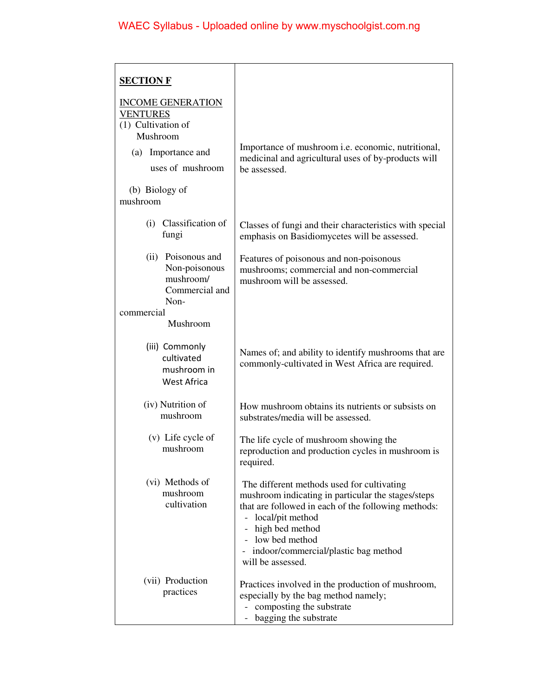| <b>SECTION F</b>                                                                                                                                         |                                                                                                                                                                                                                                                                                 |
|----------------------------------------------------------------------------------------------------------------------------------------------------------|---------------------------------------------------------------------------------------------------------------------------------------------------------------------------------------------------------------------------------------------------------------------------------|
| <b>INCOME GENERATION</b><br><b>VENTURES</b><br>(1) Cultivation of<br>Mushroom<br>Importance and<br>(a)<br>uses of mushroom<br>(b) Biology of<br>mushroom | Importance of mushroom <i>i.e.</i> economic, nutritional,<br>medicinal and agricultural uses of by-products will<br>be assessed.                                                                                                                                                |
| Classification of<br>(i)<br>fungi                                                                                                                        | Classes of fungi and their characteristics with special<br>emphasis on Basidiomycetes will be assessed.                                                                                                                                                                         |
| (ii) Poisonous and<br>Non-poisonous<br>mushroom/<br>Commercial and<br>Non-                                                                               | Features of poisonous and non-poisonous<br>mushrooms; commercial and non-commercial<br>mushroom will be assessed.                                                                                                                                                               |
| commercial<br>Mushroom                                                                                                                                   |                                                                                                                                                                                                                                                                                 |
| (iii) Commonly<br>cultivated<br>mushroom in<br><b>West Africa</b>                                                                                        | Names of; and ability to identify mushrooms that are<br>commonly-cultivated in West Africa are required.                                                                                                                                                                        |
| (iv) Nutrition of<br>mushroom                                                                                                                            | How mushroom obtains its nutrients or subsists on<br>substrates/media will be assessed.                                                                                                                                                                                         |
| (v) Life cycle of<br>mushroom                                                                                                                            | The life cycle of mushroom showing the<br>reproduction and production cycles in mushroom is<br>required.                                                                                                                                                                        |
| (vi) Methods of<br>mushroom<br>cultivation                                                                                                               | The different methods used for cultivating<br>mushroom indicating in particular the stages/steps<br>that are followed in each of the following methods:<br>- local/pit method<br>high bed method<br>low bed method<br>indoor/commercial/plastic bag method<br>will be assessed. |
| (vii) Production<br>practices                                                                                                                            | Practices involved in the production of mushroom,<br>especially by the bag method namely;<br>composting the substrate<br>bagging the substrate                                                                                                                                  |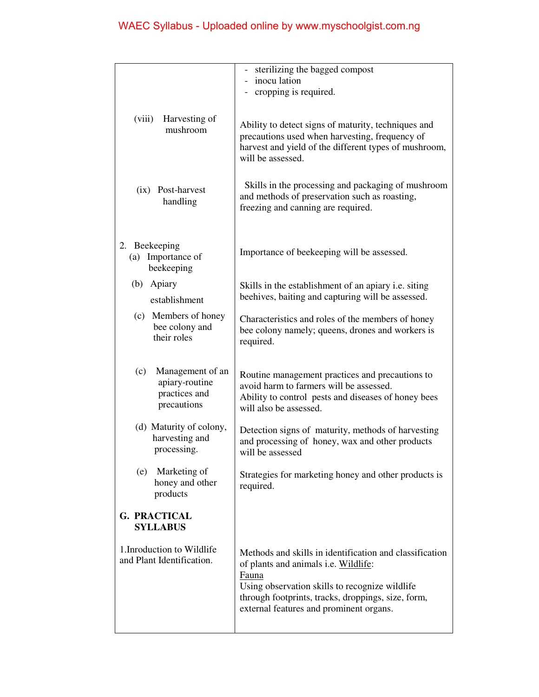|                                                                           | sterilizing the bagged compost                                                                                                                                                                                                                              |
|---------------------------------------------------------------------------|-------------------------------------------------------------------------------------------------------------------------------------------------------------------------------------------------------------------------------------------------------------|
|                                                                           | - inocu lation                                                                                                                                                                                                                                              |
|                                                                           | cropping is required.                                                                                                                                                                                                                                       |
|                                                                           |                                                                                                                                                                                                                                                             |
| Harvesting of<br>(viii)<br>mushroom                                       | Ability to detect signs of maturity, techniques and<br>precautions used when harvesting, frequency of<br>harvest and yield of the different types of mushroom,<br>will be assessed.                                                                         |
| (ix) Post-harvest<br>handling                                             | Skills in the processing and packaging of mushroom<br>and methods of preservation such as roasting,<br>freezing and canning are required.                                                                                                                   |
| 2. Beekeeping<br>(a) Importance of<br>beekeeping                          | Importance of beekeeping will be assessed.                                                                                                                                                                                                                  |
| (b) Apiary<br>establishment                                               | Skills in the establishment of an apiary <i>i.e.</i> siting<br>beehives, baiting and capturing will be assessed.                                                                                                                                            |
| (c) Members of honey<br>bee colony and<br>their roles                     | Characteristics and roles of the members of honey<br>bee colony namely; queens, drones and workers is<br>required.                                                                                                                                          |
| Management of an<br>(c)<br>apiary-routine<br>practices and<br>precautions | Routine management practices and precautions to<br>avoid harm to farmers will be assessed.<br>Ability to control pests and diseases of honey bees<br>will also be assessed.                                                                                 |
| (d) Maturity of colony,<br>harvesting and<br>processing.                  | Detection signs of maturity, methods of harvesting<br>and processing of honey, wax and other products<br>will be assessed                                                                                                                                   |
| Marketing of<br>(e)<br>honey and other<br>products                        | Strategies for marketing honey and other products is<br>required.                                                                                                                                                                                           |
| <b>G. PRACTICAL</b><br><b>SYLLABUS</b>                                    |                                                                                                                                                                                                                                                             |
| 1. Inroduction to Wildlife<br>and Plant Identification.                   | Methods and skills in identification and classification<br>of plants and animals i.e. Wildlife:<br>Fauna<br>Using observation skills to recognize wildlife<br>through footprints, tracks, droppings, size, form,<br>external features and prominent organs. |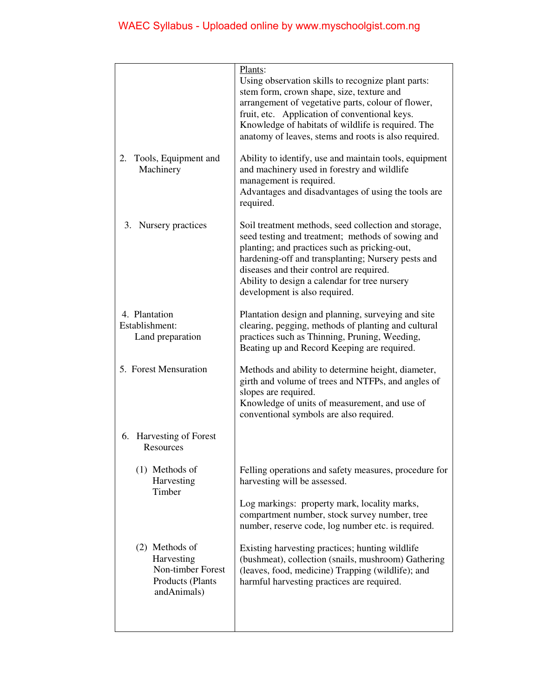|                                                                                      | Plants:<br>Using observation skills to recognize plant parts:<br>stem form, crown shape, size, texture and<br>arrangement of vegetative parts, colour of flower,<br>fruit, etc. Application of conventional keys.<br>Knowledge of habitats of wildlife is required. The<br>anatomy of leaves, stems and roots is also required.                |
|--------------------------------------------------------------------------------------|------------------------------------------------------------------------------------------------------------------------------------------------------------------------------------------------------------------------------------------------------------------------------------------------------------------------------------------------|
| 2. Tools, Equipment and<br>Machinery                                                 | Ability to identify, use and maintain tools, equipment<br>and machinery used in forestry and wildlife<br>management is required.<br>Advantages and disadvantages of using the tools are<br>required.                                                                                                                                           |
| 3. Nursery practices                                                                 | Soil treatment methods, seed collection and storage,<br>seed testing and treatment; methods of sowing and<br>planting; and practices such as pricking-out,<br>hardening-off and transplanting; Nursery pests and<br>diseases and their control are required.<br>Ability to design a calendar for tree nursery<br>development is also required. |
| 4. Plantation<br>Establishment:<br>Land preparation                                  | Plantation design and planning, surveying and site<br>clearing, pegging, methods of planting and cultural<br>practices such as Thinning, Pruning, Weeding,<br>Beating up and Record Keeping are required.                                                                                                                                      |
| 5. Forest Mensuration                                                                | Methods and ability to determine height, diameter,<br>girth and volume of trees and NTFPs, and angles of<br>slopes are required.<br>Knowledge of units of measurement, and use of<br>conventional symbols are also required.                                                                                                                   |
| 6. Harvesting of Forest<br>Resources                                                 |                                                                                                                                                                                                                                                                                                                                                |
| $(1)$ Methods of<br>Harvesting<br>Timber                                             | Felling operations and safety measures, procedure for<br>harvesting will be assessed.<br>Log markings: property mark, locality marks,<br>compartment number, stock survey number, tree<br>number, reserve code, log number etc. is required.                                                                                                   |
| (2) Methods of<br>Harvesting<br>Non-timber Forest<br>Products (Plants<br>andAnimals) | Existing harvesting practices; hunting wildlife<br>(bushmeat), collection (snails, mushroom) Gathering<br>(leaves, food, medicine) Trapping (wildlife); and<br>harmful harvesting practices are required.                                                                                                                                      |